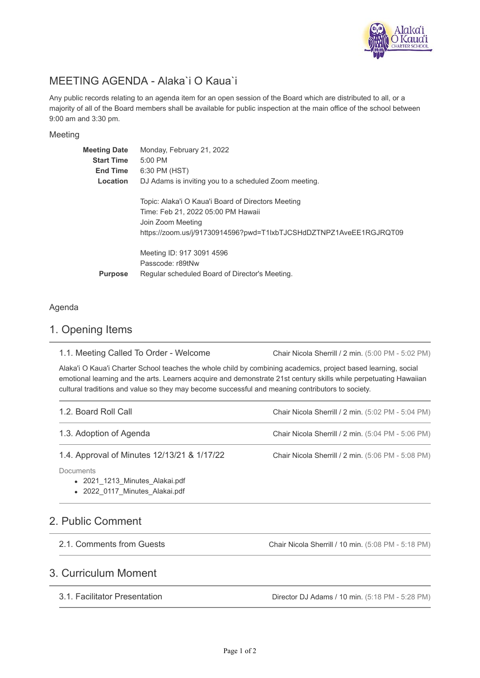

# MEETING AGENDA - Alaka`i O Kaua`i

Any public records relating to an agenda item for an open session of the Board which are distributed to all, or a majority of all of the Board members shall be available for public inspection at the main office of the school between 9:00 am and 3:30 pm.

#### Meeting

| <b>Meeting Date</b><br><b>Start Time</b><br><b>End Time</b><br>Location | Monday, February 21, 2022<br>$5:00$ PM<br>6:30 PM (HST)<br>DJ Adams is inviting you to a scheduled Zoom meeting.                                                                    |
|-------------------------------------------------------------------------|-------------------------------------------------------------------------------------------------------------------------------------------------------------------------------------|
|                                                                         | Topic: Alaka'i O Kaua'i Board of Directors Meeting<br>Time: Feb 21, 2022 05:00 PM Hawaii<br>Join Zoom Meeting<br>https://zoom.us/j/91730914596?pwd=T1lxbTJCSHdDZTNPZ1AveEE1RGJRQT09 |
| <b>Purpose</b>                                                          | Meeting ID: 917 3091 4596<br>Passcode: r89tNw<br>Regular scheduled Board of Director's Meeting.                                                                                     |

### Agenda

### 1. Opening Items

| 1.1. Meeting Called To Order - Welcome | Chair Nicola Sherrill / 2 min. (5:00 PM - 5:02 PM) |  |
|----------------------------------------|----------------------------------------------------|--|
|----------------------------------------|----------------------------------------------------|--|

Alaka'i O Kaua'i Charter School teaches the whole child by combining academics, project based learning, social emotional learning and the arts. Learners acquire and demonstrate 21st century skills while perpetuating Hawaiian cultural traditions and value so they may become successful and meaning contributors to society.

| 1.2. Board Roll Call                                                                 | Chair Nicola Sherrill / 2 min. (5:02 PM - 5:04 PM) |
|--------------------------------------------------------------------------------------|----------------------------------------------------|
| 1.3. Adoption of Agenda                                                              | Chair Nicola Sherrill / 2 min. (5:04 PM - 5:06 PM) |
| 1.4. Approval of Minutes 12/13/21 & 1/17/22                                          | Chair Nicola Sherrill / 2 min. (5:06 PM - 5:08 PM) |
| <b>Documents</b><br>• 2021 1213 Minutes Alakai.pdf<br>• 2022 0117 Minutes Alakai.pdf |                                                    |

### 2. Public Comment

2.1. Comments from Guests

Chair Nicola Sherrill / 10 min. (5:08 PM - 5:18 PM)

### 3. Curriculum Moment

3.1. Facilitator Presentation

Director DJ Adams / 10 min. (5:18 PM - 5:28 PM)